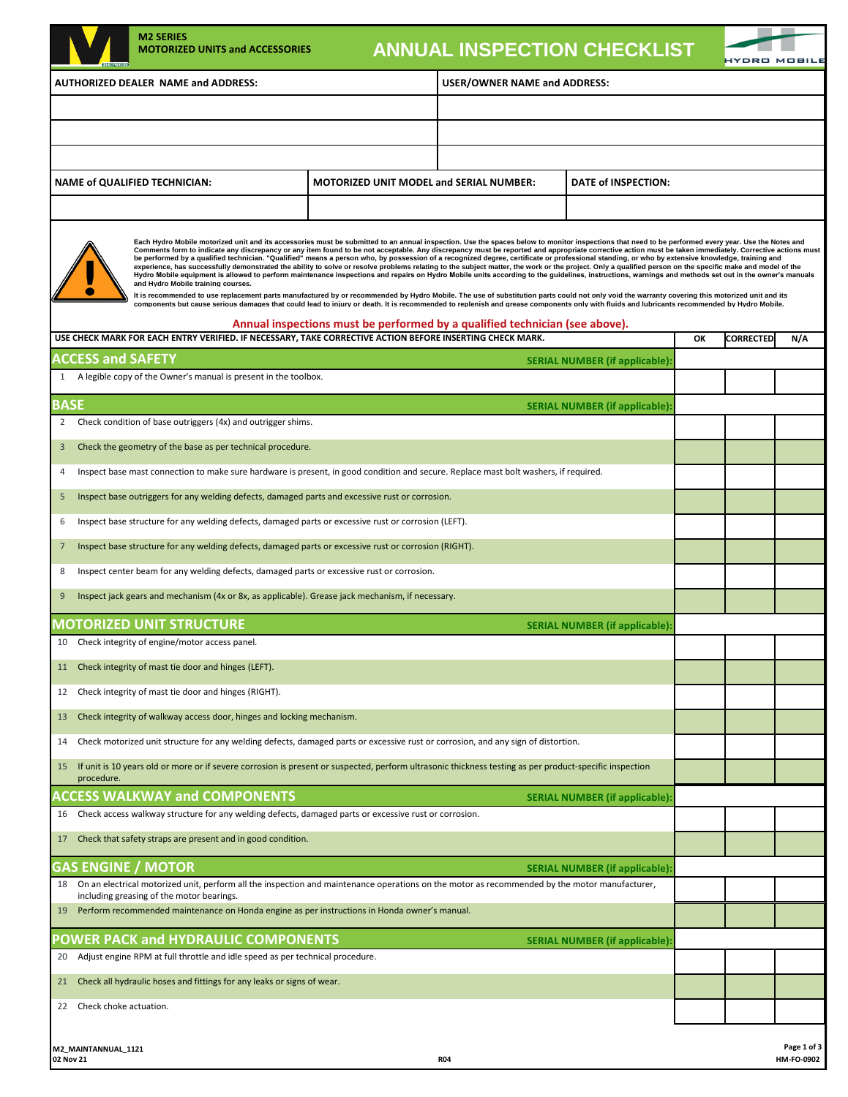|                                                                                                                                                                                                                                                                                                                                                                                                                                                                                                                                                                                                                                                                                                                                                                                                                                                                                                                                                                                                                                                                                                                                                                                                                                                                                                                                                                                                                                                                               | <b>M2 SERIES</b><br><b>MOTORIZED UNITS and ACCESSORIES</b>                                                                                                                                 |                                                                             | <b>ANNUAL INSPECTION CHECKLIST</b> |                                      |    |                  | YDRO MOBILI |  |
|-------------------------------------------------------------------------------------------------------------------------------------------------------------------------------------------------------------------------------------------------------------------------------------------------------------------------------------------------------------------------------------------------------------------------------------------------------------------------------------------------------------------------------------------------------------------------------------------------------------------------------------------------------------------------------------------------------------------------------------------------------------------------------------------------------------------------------------------------------------------------------------------------------------------------------------------------------------------------------------------------------------------------------------------------------------------------------------------------------------------------------------------------------------------------------------------------------------------------------------------------------------------------------------------------------------------------------------------------------------------------------------------------------------------------------------------------------------------------------|--------------------------------------------------------------------------------------------------------------------------------------------------------------------------------------------|-----------------------------------------------------------------------------|------------------------------------|--------------------------------------|----|------------------|-------------|--|
|                                                                                                                                                                                                                                                                                                                                                                                                                                                                                                                                                                                                                                                                                                                                                                                                                                                                                                                                                                                                                                                                                                                                                                                                                                                                                                                                                                                                                                                                               | AUTHORIZED DEALER NAME and ADDRESS:                                                                                                                                                        |                                                                             | USER/OWNER NAME and ADDRESS:       |                                      |    |                  |             |  |
|                                                                                                                                                                                                                                                                                                                                                                                                                                                                                                                                                                                                                                                                                                                                                                                                                                                                                                                                                                                                                                                                                                                                                                                                                                                                                                                                                                                                                                                                               |                                                                                                                                                                                            |                                                                             |                                    |                                      |    |                  |             |  |
|                                                                                                                                                                                                                                                                                                                                                                                                                                                                                                                                                                                                                                                                                                                                                                                                                                                                                                                                                                                                                                                                                                                                                                                                                                                                                                                                                                                                                                                                               |                                                                                                                                                                                            |                                                                             |                                    |                                      |    |                  |             |  |
|                                                                                                                                                                                                                                                                                                                                                                                                                                                                                                                                                                                                                                                                                                                                                                                                                                                                                                                                                                                                                                                                                                                                                                                                                                                                                                                                                                                                                                                                               |                                                                                                                                                                                            |                                                                             |                                    |                                      |    |                  |             |  |
| <b>NAME of QUALIFIED TECHNICIAN:</b><br><b>MOTORIZED UNIT MODEL and SERIAL NUMBER:</b><br>DATE of INSPECTION:                                                                                                                                                                                                                                                                                                                                                                                                                                                                                                                                                                                                                                                                                                                                                                                                                                                                                                                                                                                                                                                                                                                                                                                                                                                                                                                                                                 |                                                                                                                                                                                            |                                                                             |                                    |                                      |    |                  |             |  |
|                                                                                                                                                                                                                                                                                                                                                                                                                                                                                                                                                                                                                                                                                                                                                                                                                                                                                                                                                                                                                                                                                                                                                                                                                                                                                                                                                                                                                                                                               |                                                                                                                                                                                            |                                                                             |                                    |                                      |    |                  |             |  |
| Each Hydro Mobile motorized unit and its accessories must be submitted to an annual inspection. Use the spaces below to monitor inspections that need to be performed every year. Use the Notes and<br>Comments form to indicate any discrepancy or any item found to be not acceptable. Any discrepancy must be reported and appropriate corrective action must be taken immediately. Corrective actions must<br>be performed by a qualified technician. "Qualified" means a person who, by possession of a recognized degree, certificate or professional standing, or who by extensive knowledge, training and<br>experience, has successfully demonstrated the ability to solve or resolve problems relating to the subject matter, the work or the project. Only a qualified person on the specific make and model of the<br>Hydro Mobile equipment is allowed to perform maintenance inspections and repairs on Hydro Mobile units according to the guidelines, instructions, warnings and methods set out in the owner's manuals<br>and Hydro Mobile training courses.<br>It is recommended to use replacement parts manufactured by or recommended by Hydro Mobile. The use of substitution parts could not only void the warranty covering this motorized unit and its<br>components but cause serious damages that could lead to injury or death. It is recommended to replenish and grease components only with fluids and lubricants recommended by Hydro Mobile. |                                                                                                                                                                                            |                                                                             |                                    |                                      |    |                  |             |  |
|                                                                                                                                                                                                                                                                                                                                                                                                                                                                                                                                                                                                                                                                                                                                                                                                                                                                                                                                                                                                                                                                                                                                                                                                                                                                                                                                                                                                                                                                               | USE CHECK MARK FOR EACH ENTRY VERIFIED. IF NECESSARY, TAKE CORRECTIVE ACTION BEFORE INSERTING CHECK MARK.                                                                                  | Annual inspections must be performed by a qualified technician (see above). |                                    |                                      | OK | <b>CORRECTED</b> | N/A         |  |
| <b>ACCESS and SAFETY</b>                                                                                                                                                                                                                                                                                                                                                                                                                                                                                                                                                                                                                                                                                                                                                                                                                                                                                                                                                                                                                                                                                                                                                                                                                                                                                                                                                                                                                                                      |                                                                                                                                                                                            |                                                                             |                                    | <b>SERIAL NUMBER (if applicable)</b> |    |                  |             |  |
|                                                                                                                                                                                                                                                                                                                                                                                                                                                                                                                                                                                                                                                                                                                                                                                                                                                                                                                                                                                                                                                                                                                                                                                                                                                                                                                                                                                                                                                                               | 1 A legible copy of the Owner's manual is present in the toolbox.                                                                                                                          |                                                                             |                                    |                                      |    |                  |             |  |
| <b>BASE</b>                                                                                                                                                                                                                                                                                                                                                                                                                                                                                                                                                                                                                                                                                                                                                                                                                                                                                                                                                                                                                                                                                                                                                                                                                                                                                                                                                                                                                                                                   |                                                                                                                                                                                            |                                                                             |                                    | <b>SERIAL NUMBER (if applicable)</b> |    |                  |             |  |
| $\overline{2}$                                                                                                                                                                                                                                                                                                                                                                                                                                                                                                                                                                                                                                                                                                                                                                                                                                                                                                                                                                                                                                                                                                                                                                                                                                                                                                                                                                                                                                                                | Check condition of base outriggers (4x) and outrigger shims.                                                                                                                               |                                                                             |                                    |                                      |    |                  |             |  |
| 3                                                                                                                                                                                                                                                                                                                                                                                                                                                                                                                                                                                                                                                                                                                                                                                                                                                                                                                                                                                                                                                                                                                                                                                                                                                                                                                                                                                                                                                                             | Check the geometry of the base as per technical procedure.                                                                                                                                 |                                                                             |                                    |                                      |    |                  |             |  |
| 4                                                                                                                                                                                                                                                                                                                                                                                                                                                                                                                                                                                                                                                                                                                                                                                                                                                                                                                                                                                                                                                                                                                                                                                                                                                                                                                                                                                                                                                                             | Inspect base mast connection to make sure hardware is present, in good condition and secure. Replace mast bolt washers, if required.                                                       |                                                                             |                                    |                                      |    |                  |             |  |
| Inspect base outriggers for any welding defects, damaged parts and excessive rust or corrosion.<br>5                                                                                                                                                                                                                                                                                                                                                                                                                                                                                                                                                                                                                                                                                                                                                                                                                                                                                                                                                                                                                                                                                                                                                                                                                                                                                                                                                                          |                                                                                                                                                                                            |                                                                             |                                    |                                      |    |                  |             |  |
| Inspect base structure for any welding defects, damaged parts or excessive rust or corrosion (LEFT).<br>6                                                                                                                                                                                                                                                                                                                                                                                                                                                                                                                                                                                                                                                                                                                                                                                                                                                                                                                                                                                                                                                                                                                                                                                                                                                                                                                                                                     |                                                                                                                                                                                            |                                                                             |                                    |                                      |    |                  |             |  |
| Inspect base structure for any welding defects, damaged parts or excessive rust or corrosion (RIGHT).<br>$\overline{7}$                                                                                                                                                                                                                                                                                                                                                                                                                                                                                                                                                                                                                                                                                                                                                                                                                                                                                                                                                                                                                                                                                                                                                                                                                                                                                                                                                       |                                                                                                                                                                                            |                                                                             |                                    |                                      |    |                  |             |  |
| Inspect center beam for any welding defects, damaged parts or excessive rust or corrosion.<br>8                                                                                                                                                                                                                                                                                                                                                                                                                                                                                                                                                                                                                                                                                                                                                                                                                                                                                                                                                                                                                                                                                                                                                                                                                                                                                                                                                                               |                                                                                                                                                                                            |                                                                             |                                    |                                      |    |                  |             |  |
| Inspect jack gears and mechanism (4x or 8x, as applicable). Grease jack mechanism, if necessary.<br>9                                                                                                                                                                                                                                                                                                                                                                                                                                                                                                                                                                                                                                                                                                                                                                                                                                                                                                                                                                                                                                                                                                                                                                                                                                                                                                                                                                         |                                                                                                                                                                                            |                                                                             |                                    |                                      |    |                  |             |  |
| <b>MOTORIZED UNIT STRUCTURE</b><br><b>SERIAL NUMBER (if applicable)</b>                                                                                                                                                                                                                                                                                                                                                                                                                                                                                                                                                                                                                                                                                                                                                                                                                                                                                                                                                                                                                                                                                                                                                                                                                                                                                                                                                                                                       |                                                                                                                                                                                            |                                                                             |                                    |                                      |    |                  |             |  |
| 10                                                                                                                                                                                                                                                                                                                                                                                                                                                                                                                                                                                                                                                                                                                                                                                                                                                                                                                                                                                                                                                                                                                                                                                                                                                                                                                                                                                                                                                                            | Check integrity of engine/motor access panel.                                                                                                                                              |                                                                             |                                    |                                      |    |                  |             |  |
| Check integrity of mast tie door and hinges (LEFT).<br>11                                                                                                                                                                                                                                                                                                                                                                                                                                                                                                                                                                                                                                                                                                                                                                                                                                                                                                                                                                                                                                                                                                                                                                                                                                                                                                                                                                                                                     |                                                                                                                                                                                            |                                                                             |                                    |                                      |    |                  |             |  |
| Check integrity of mast tie door and hinges (RIGHT).<br>12                                                                                                                                                                                                                                                                                                                                                                                                                                                                                                                                                                                                                                                                                                                                                                                                                                                                                                                                                                                                                                                                                                                                                                                                                                                                                                                                                                                                                    |                                                                                                                                                                                            |                                                                             |                                    |                                      |    |                  |             |  |
| Check integrity of walkway access door, hinges and locking mechanism.<br>13                                                                                                                                                                                                                                                                                                                                                                                                                                                                                                                                                                                                                                                                                                                                                                                                                                                                                                                                                                                                                                                                                                                                                                                                                                                                                                                                                                                                   |                                                                                                                                                                                            |                                                                             |                                    |                                      |    |                  |             |  |
| Check motorized unit structure for any welding defects, damaged parts or excessive rust or corrosion, and any sign of distortion.<br>14                                                                                                                                                                                                                                                                                                                                                                                                                                                                                                                                                                                                                                                                                                                                                                                                                                                                                                                                                                                                                                                                                                                                                                                                                                                                                                                                       |                                                                                                                                                                                            |                                                                             |                                    |                                      |    |                  |             |  |
| 15<br>procedure.                                                                                                                                                                                                                                                                                                                                                                                                                                                                                                                                                                                                                                                                                                                                                                                                                                                                                                                                                                                                                                                                                                                                                                                                                                                                                                                                                                                                                                                              | If unit is 10 years old or more or if severe corrosion is present or suspected, perform ultrasonic thickness testing as per product-specific inspection                                    |                                                                             |                                    |                                      |    |                  |             |  |
|                                                                                                                                                                                                                                                                                                                                                                                                                                                                                                                                                                                                                                                                                                                                                                                                                                                                                                                                                                                                                                                                                                                                                                                                                                                                                                                                                                                                                                                                               | <b>ACCESS WALKWAY and COMPONENTS</b>                                                                                                                                                       |                                                                             |                                    | <b>SERIAL NUMBER (if applicable)</b> |    |                  |             |  |
| 16                                                                                                                                                                                                                                                                                                                                                                                                                                                                                                                                                                                                                                                                                                                                                                                                                                                                                                                                                                                                                                                                                                                                                                                                                                                                                                                                                                                                                                                                            | Check access walkway structure for any welding defects, damaged parts or excessive rust or corrosion.                                                                                      |                                                                             |                                    |                                      |    |                  |             |  |
| 17                                                                                                                                                                                                                                                                                                                                                                                                                                                                                                                                                                                                                                                                                                                                                                                                                                                                                                                                                                                                                                                                                                                                                                                                                                                                                                                                                                                                                                                                            | Check that safety straps are present and in good condition.                                                                                                                                |                                                                             |                                    |                                      |    |                  |             |  |
| <b>GAS ENGINE / MOTOR</b>                                                                                                                                                                                                                                                                                                                                                                                                                                                                                                                                                                                                                                                                                                                                                                                                                                                                                                                                                                                                                                                                                                                                                                                                                                                                                                                                                                                                                                                     |                                                                                                                                                                                            |                                                                             |                                    | <b>SERIAL NUMBER (if applicable)</b> |    |                  |             |  |
| 18                                                                                                                                                                                                                                                                                                                                                                                                                                                                                                                                                                                                                                                                                                                                                                                                                                                                                                                                                                                                                                                                                                                                                                                                                                                                                                                                                                                                                                                                            | On an electrical motorized unit, perform all the inspection and maintenance operations on the motor as recommended by the motor manufacturer,<br>including greasing of the motor bearings. |                                                                             |                                    |                                      |    |                  |             |  |
| 19                                                                                                                                                                                                                                                                                                                                                                                                                                                                                                                                                                                                                                                                                                                                                                                                                                                                                                                                                                                                                                                                                                                                                                                                                                                                                                                                                                                                                                                                            | Perform recommended maintenance on Honda engine as per instructions in Honda owner's manual.                                                                                               |                                                                             |                                    |                                      |    |                  |             |  |
|                                                                                                                                                                                                                                                                                                                                                                                                                                                                                                                                                                                                                                                                                                                                                                                                                                                                                                                                                                                                                                                                                                                                                                                                                                                                                                                                                                                                                                                                               | <b>POWER PACK and HYDRAULIC COMPONENTS</b>                                                                                                                                                 |                                                                             |                                    | <b>SERIAL NUMBER (if applicable)</b> |    |                  |             |  |
| 20                                                                                                                                                                                                                                                                                                                                                                                                                                                                                                                                                                                                                                                                                                                                                                                                                                                                                                                                                                                                                                                                                                                                                                                                                                                                                                                                                                                                                                                                            | Adjust engine RPM at full throttle and idle speed as per technical procedure.                                                                                                              |                                                                             |                                    |                                      |    |                  |             |  |
| 21                                                                                                                                                                                                                                                                                                                                                                                                                                                                                                                                                                                                                                                                                                                                                                                                                                                                                                                                                                                                                                                                                                                                                                                                                                                                                                                                                                                                                                                                            | Check all hydraulic hoses and fittings for any leaks or signs of wear.                                                                                                                     |                                                                             |                                    |                                      |    |                  |             |  |
| Check choke actuation.<br>22                                                                                                                                                                                                                                                                                                                                                                                                                                                                                                                                                                                                                                                                                                                                                                                                                                                                                                                                                                                                                                                                                                                                                                                                                                                                                                                                                                                                                                                  |                                                                                                                                                                                            |                                                                             |                                    |                                      |    |                  |             |  |
| M2_MAINTANNUAL_1121                                                                                                                                                                                                                                                                                                                                                                                                                                                                                                                                                                                                                                                                                                                                                                                                                                                                                                                                                                                                                                                                                                                                                                                                                                                                                                                                                                                                                                                           |                                                                                                                                                                                            |                                                                             |                                    |                                      |    |                  | Page 1 of 3 |  |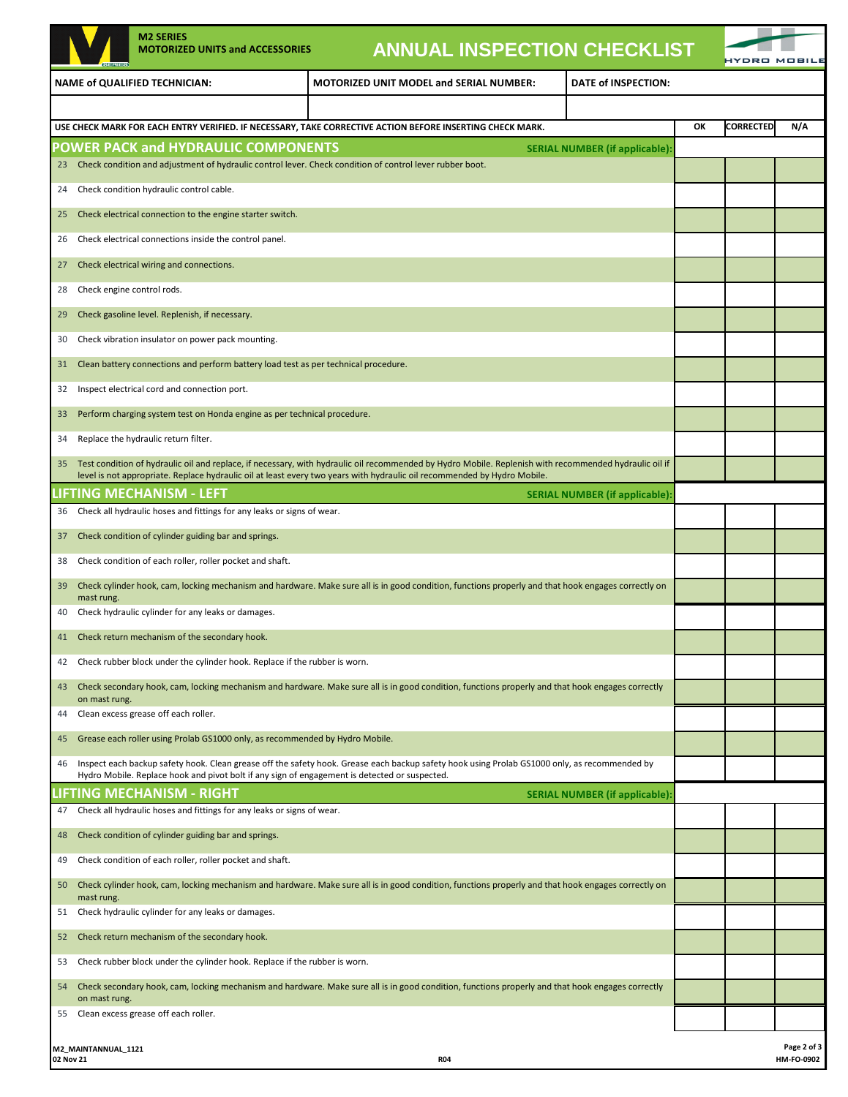|                                                                                                                                                                         | <b>M2 SERIES</b><br><b>MOTORIZED UNITS and ACCESSORIES</b>                          |                                                                                                                                                                                                                                                                                    | <b>ANNUAL INSPECTION CHECKLIST</b>    |    |                  |             |
|-------------------------------------------------------------------------------------------------------------------------------------------------------------------------|-------------------------------------------------------------------------------------|------------------------------------------------------------------------------------------------------------------------------------------------------------------------------------------------------------------------------------------------------------------------------------|---------------------------------------|----|------------------|-------------|
|                                                                                                                                                                         | <b>NAME of QUALIFIED TECHNICIAN:</b>                                                | <b>MOTORIZED UNIT MODEL and SERIAL NUMBER:</b>                                                                                                                                                                                                                                     | <b>DATE of INSPECTION:</b>            |    |                  |             |
|                                                                                                                                                                         |                                                                                     |                                                                                                                                                                                                                                                                                    |                                       |    |                  |             |
|                                                                                                                                                                         |                                                                                     | USE CHECK MARK FOR EACH ENTRY VERIFIED. IF NECESSARY, TAKE CORRECTIVE ACTION BEFORE INSERTING CHECK MARK.                                                                                                                                                                          |                                       | ОК | <b>CORRECTED</b> | N/A         |
|                                                                                                                                                                         | <b>POWER PACK and HYDRAULIC COMPONENTS</b>                                          |                                                                                                                                                                                                                                                                                    | <b>SERIAL NUMBER (if applicable):</b> |    |                  |             |
| 23                                                                                                                                                                      |                                                                                     | Check condition and adjustment of hydraulic control lever. Check condition of control lever rubber boot.                                                                                                                                                                           |                                       |    |                  |             |
| 24                                                                                                                                                                      | Check condition hydraulic control cable.                                            |                                                                                                                                                                                                                                                                                    |                                       |    |                  |             |
| Check electrical connection to the engine starter switch.<br>25                                                                                                         |                                                                                     |                                                                                                                                                                                                                                                                                    |                                       |    |                  |             |
| 26                                                                                                                                                                      | Check electrical connections inside the control panel.                              |                                                                                                                                                                                                                                                                                    |                                       |    |                  |             |
| 27                                                                                                                                                                      | Check electrical wiring and connections.                                            |                                                                                                                                                                                                                                                                                    |                                       |    |                  |             |
| 28                                                                                                                                                                      | Check engine control rods.                                                          |                                                                                                                                                                                                                                                                                    |                                       |    |                  |             |
| 29                                                                                                                                                                      | Check gasoline level. Replenish, if necessary.                                      |                                                                                                                                                                                                                                                                                    |                                       |    |                  |             |
| 30                                                                                                                                                                      | Check vibration insulator on power pack mounting.                                   |                                                                                                                                                                                                                                                                                    |                                       |    |                  |             |
| 31                                                                                                                                                                      | Clean battery connections and perform battery load test as per technical procedure. |                                                                                                                                                                                                                                                                                    |                                       |    |                  |             |
| 32                                                                                                                                                                      | Inspect electrical cord and connection port.                                        |                                                                                                                                                                                                                                                                                    |                                       |    |                  |             |
| 33                                                                                                                                                                      | Perform charging system test on Honda engine as per technical procedure.            |                                                                                                                                                                                                                                                                                    |                                       |    |                  |             |
| 34                                                                                                                                                                      | Replace the hydraulic return filter.                                                |                                                                                                                                                                                                                                                                                    |                                       |    |                  |             |
| 35                                                                                                                                                                      |                                                                                     | Test condition of hydraulic oil and replace, if necessary, with hydraulic oil recommended by Hydro Mobile. Replenish with recommended hydraulic oil if<br>level is not appropriate. Replace hydraulic oil at least every two years with hydraulic oil recommended by Hydro Mobile. |                                       |    |                  |             |
|                                                                                                                                                                         | LIFTING MECHANISM - LEFT                                                            |                                                                                                                                                                                                                                                                                    | <b>SERIAL NUMBER (if applicable):</b> |    |                  |             |
| 36                                                                                                                                                                      | Check all hydraulic hoses and fittings for any leaks or signs of wear.              |                                                                                                                                                                                                                                                                                    |                                       |    |                  |             |
| 37                                                                                                                                                                      | Check condition of cylinder guiding bar and springs.                                |                                                                                                                                                                                                                                                                                    |                                       |    |                  |             |
| 38                                                                                                                                                                      | Check condition of each roller, roller pocket and shaft.                            |                                                                                                                                                                                                                                                                                    |                                       |    |                  |             |
| Check cylinder hook, cam, locking mechanism and hardware. Make sure all is in good condition, functions properly and that hook engages correctly on<br>39<br>mast rung. |                                                                                     |                                                                                                                                                                                                                                                                                    |                                       |    |                  |             |
| 40                                                                                                                                                                      | Check hydraulic cylinder for any leaks or damages.                                  |                                                                                                                                                                                                                                                                                    |                                       |    |                  |             |
| 41                                                                                                                                                                      | Check return mechanism of the secondary hook.                                       |                                                                                                                                                                                                                                                                                    |                                       |    |                  |             |
| 42                                                                                                                                                                      | Check rubber block under the cylinder hook. Replace if the rubber is worn.          |                                                                                                                                                                                                                                                                                    |                                       |    |                  |             |
| 43<br>on mast rung.                                                                                                                                                     |                                                                                     | Check secondary hook, cam, locking mechanism and hardware. Make sure all is in good condition, functions properly and that hook engages correctly                                                                                                                                  |                                       |    |                  |             |
| 44                                                                                                                                                                      | Clean excess grease off each roller.                                                |                                                                                                                                                                                                                                                                                    |                                       |    |                  |             |
| 45                                                                                                                                                                      | Grease each roller using Prolab GS1000 only, as recommended by Hydro Mobile.        |                                                                                                                                                                                                                                                                                    |                                       |    |                  |             |
| 46                                                                                                                                                                      |                                                                                     | Inspect each backup safety hook. Clean grease off the safety hook. Grease each backup safety hook using Prolab GS1000 only, as recommended by                                                                                                                                      |                                       |    |                  |             |
|                                                                                                                                                                         | IFTING MECHANISM - RIGHT.                                                           | Hydro Mobile. Replace hook and pivot bolt if any sign of engagement is detected or suspected.                                                                                                                                                                                      | <b>SERIAL NUMBER (if applicable):</b> |    |                  |             |
| 47                                                                                                                                                                      | Check all hydraulic hoses and fittings for any leaks or signs of wear.              |                                                                                                                                                                                                                                                                                    |                                       |    |                  |             |
| 48                                                                                                                                                                      | Check condition of cylinder guiding bar and springs.                                |                                                                                                                                                                                                                                                                                    |                                       |    |                  |             |
| 49                                                                                                                                                                      | Check condition of each roller, roller pocket and shaft.                            |                                                                                                                                                                                                                                                                                    |                                       |    |                  |             |
| 50                                                                                                                                                                      |                                                                                     | Check cylinder hook, cam, locking mechanism and hardware. Make sure all is in good condition, functions properly and that hook engages correctly on                                                                                                                                |                                       |    |                  |             |
| mast rung.<br>51                                                                                                                                                        | Check hydraulic cylinder for any leaks or damages.                                  |                                                                                                                                                                                                                                                                                    |                                       |    |                  |             |
| 52                                                                                                                                                                      | Check return mechanism of the secondary hook.                                       |                                                                                                                                                                                                                                                                                    |                                       |    |                  |             |
| 53                                                                                                                                                                      | Check rubber block under the cylinder hook. Replace if the rubber is worn.          |                                                                                                                                                                                                                                                                                    |                                       |    |                  |             |
| 54                                                                                                                                                                      |                                                                                     | Check secondary hook, cam, locking mechanism and hardware. Make sure all is in good condition, functions properly and that hook engages correctly                                                                                                                                  |                                       |    |                  |             |
| on mast rung.<br>55                                                                                                                                                     | Clean excess grease off each roller.                                                |                                                                                                                                                                                                                                                                                    |                                       |    |                  |             |
|                                                                                                                                                                         |                                                                                     |                                                                                                                                                                                                                                                                                    |                                       |    |                  |             |
| M2_MAINTANNUAL_1121                                                                                                                                                     |                                                                                     |                                                                                                                                                                                                                                                                                    |                                       |    |                  | Page 2 of 3 |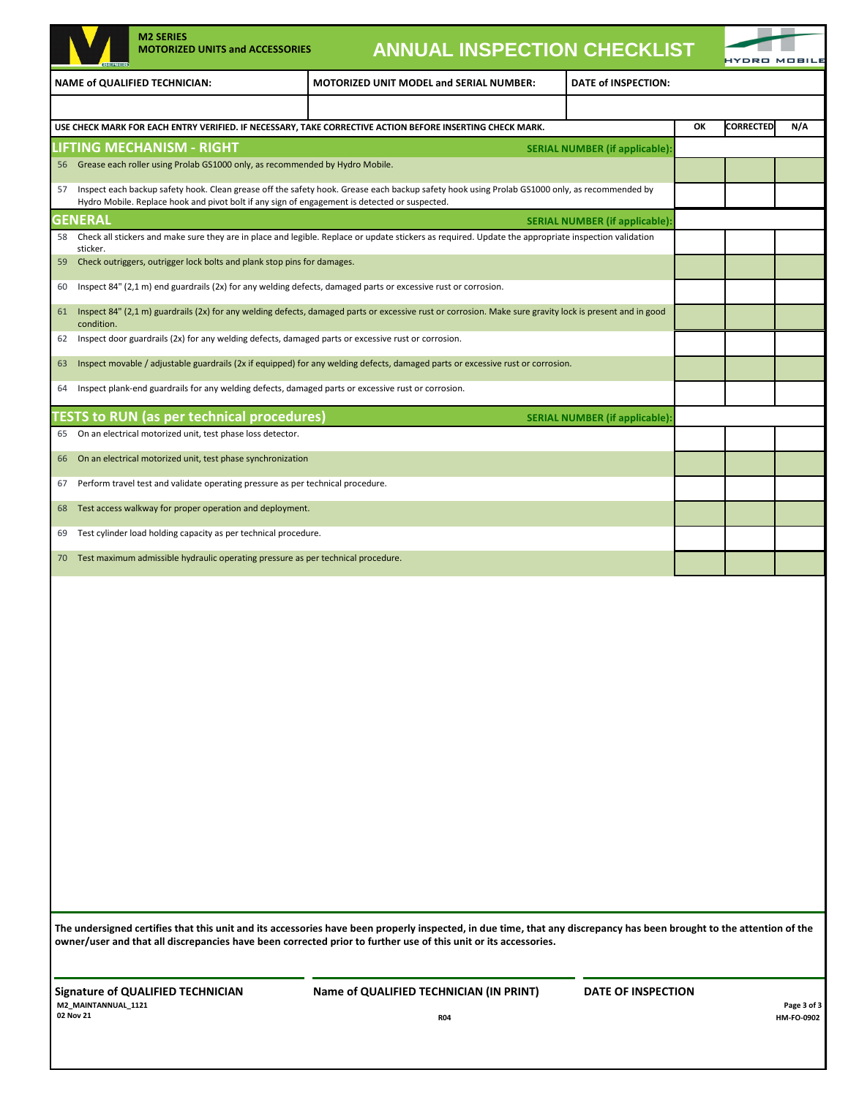|    | <b>M2 SERIES</b><br><b>MOTORIZED UNITS and ACCESSORIES</b>                                                                                                                                                                                     | <b>ANNUAL INSPECTION CHECKLIST</b>                                                                                                                                                                                                                                                       |                                       |    |                  | <b>MOBIL</b>              |
|----|------------------------------------------------------------------------------------------------------------------------------------------------------------------------------------------------------------------------------------------------|------------------------------------------------------------------------------------------------------------------------------------------------------------------------------------------------------------------------------------------------------------------------------------------|---------------------------------------|----|------------------|---------------------------|
|    | <b>NAME of QUALIFIED TECHNICIAN:</b>                                                                                                                                                                                                           | <b>MOTORIZED UNIT MODEL and SERIAL NUMBER:</b>                                                                                                                                                                                                                                           | DATE of INSPECTION:                   |    |                  |                           |
|    |                                                                                                                                                                                                                                                |                                                                                                                                                                                                                                                                                          |                                       |    |                  |                           |
|    |                                                                                                                                                                                                                                                | USE CHECK MARK FOR EACH ENTRY VERIFIED. IF NECESSARY, TAKE CORRECTIVE ACTION BEFORE INSERTING CHECK MARK.                                                                                                                                                                                |                                       | OK | <b>CORRECTED</b> | N/A                       |
|    | LIFTING MECHANISM - RIGHT                                                                                                                                                                                                                      |                                                                                                                                                                                                                                                                                          | <b>SERIAL NUMBER (if applicable)</b>  |    |                  |                           |
| 56 | Grease each roller using Prolab GS1000 only, as recommended by Hydro Mobile.                                                                                                                                                                   |                                                                                                                                                                                                                                                                                          |                                       |    |                  |                           |
| 57 | Inspect each backup safety hook. Clean grease off the safety hook. Grease each backup safety hook using Prolab GS1000 only, as recommended by<br>Hydro Mobile. Replace hook and pivot bolt if any sign of engagement is detected or suspected. |                                                                                                                                                                                                                                                                                          |                                       |    |                  |                           |
|    | <b>GENERAL</b>                                                                                                                                                                                                                                 |                                                                                                                                                                                                                                                                                          | <b>SERIAL NUMBER (if applicable)</b>  |    |                  |                           |
| 58 | sticker.                                                                                                                                                                                                                                       | Check all stickers and make sure they are in place and legible. Replace or update stickers as required. Update the appropriate inspection validation                                                                                                                                     |                                       |    |                  |                           |
| 59 | Check outriggers, outrigger lock bolts and plank stop pins for damages.                                                                                                                                                                        |                                                                                                                                                                                                                                                                                          |                                       |    |                  |                           |
| 60 | Inspect 84" (2,1 m) end guardrails (2x) for any welding defects, damaged parts or excessive rust or corrosion.                                                                                                                                 |                                                                                                                                                                                                                                                                                          |                                       |    |                  |                           |
| 61 | condition.                                                                                                                                                                                                                                     | Inspect 84" (2,1 m) guardrails (2x) for any welding defects, damaged parts or excessive rust or corrosion. Make sure gravity lock is present and in good                                                                                                                                 |                                       |    |                  |                           |
| 62 | Inspect door guardrails (2x) for any welding defects, damaged parts or excessive rust or corrosion.                                                                                                                                            |                                                                                                                                                                                                                                                                                          |                                       |    |                  |                           |
| 63 |                                                                                                                                                                                                                                                | Inspect movable / adjustable guardrails (2x if equipped) for any welding defects, damaged parts or excessive rust or corrosion.                                                                                                                                                          |                                       |    |                  |                           |
| 64 | Inspect plank-end guardrails for any welding defects, damaged parts or excessive rust or corrosion.                                                                                                                                            |                                                                                                                                                                                                                                                                                          |                                       |    |                  |                           |
|    | TESTS to RUN (as per technical procedures)                                                                                                                                                                                                     |                                                                                                                                                                                                                                                                                          | <b>SERIAL NUMBER (if applicable):</b> |    |                  |                           |
| 65 | On an electrical motorized unit, test phase loss detector.                                                                                                                                                                                     |                                                                                                                                                                                                                                                                                          |                                       |    |                  |                           |
| 66 | On an electrical motorized unit, test phase synchronization                                                                                                                                                                                    |                                                                                                                                                                                                                                                                                          |                                       |    |                  |                           |
| 67 | Perform travel test and validate operating pressure as per technical procedure.                                                                                                                                                                |                                                                                                                                                                                                                                                                                          |                                       |    |                  |                           |
| 68 | Test access walkway for proper operation and deployment.                                                                                                                                                                                       |                                                                                                                                                                                                                                                                                          |                                       |    |                  |                           |
| 69 | Test cylinder load holding capacity as per technical procedure.                                                                                                                                                                                |                                                                                                                                                                                                                                                                                          |                                       |    |                  |                           |
| 70 | Test maximum admissible hydraulic operating pressure as per technical procedure.                                                                                                                                                               |                                                                                                                                                                                                                                                                                          |                                       |    |                  |                           |
|    |                                                                                                                                                                                                                                                | The undersigned certifies that this unit and its accessories have been properly inspected, in due time, that any discrepancy has been brought to the attention of the<br>owner/user and that all discrepancies have been corrected prior to further use of this unit or its accessories. |                                       |    |                  |                           |
|    | <b>Signature of QUALIFIED TECHNICIAN</b><br>M2_MAINTANNUAL_1121<br>02 Nov 21                                                                                                                                                                   | Name of QUALIFIED TECHNICIAN (IN PRINT)<br><b>R04</b>                                                                                                                                                                                                                                    | DATE OF INSPECTION                    |    |                  | Page 3 of 3<br>HM-FO-0902 |
|    |                                                                                                                                                                                                                                                |                                                                                                                                                                                                                                                                                          |                                       |    |                  |                           |